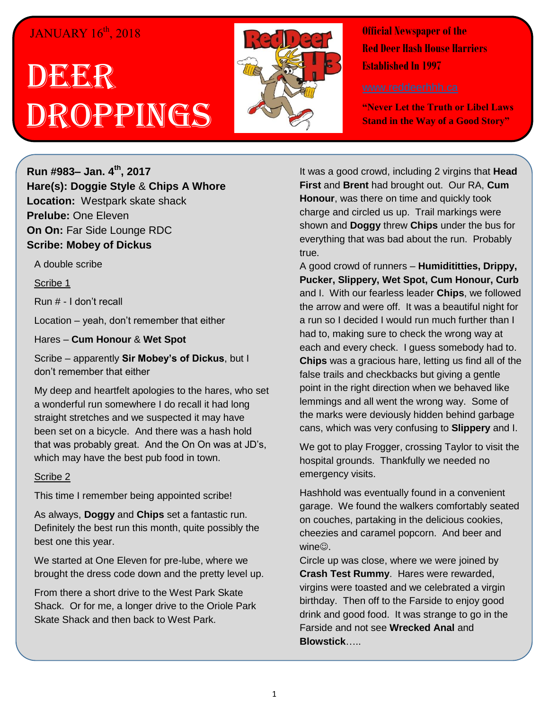## JANUARY 16<sup>th</sup>, 2018

## DEER Droppings



**Official Newspaper of the Red Deer Hash House Harriers Established In 1997** 

**"Never Let the Truth or Libel Laws Stand in the Way of a Good Story"**

**Run #983– Jan. 4 th, 2017 Hare(s): Doggie Style** & **Chips A Whore Location:** Westpark skate shack **Prelube:** One Eleven **On On:** Far Side Lounge RDC **Scribe: Mobey of Dickus**

A double scribe

Scribe 1

Run # - I don't recall

Location – yeah, don't remember that either

Hares – **Cum Honour** & **Wet Spot**

Scribe – apparently **Sir Mobey's of Dickus**, but I don't remember that either

My deep and heartfelt apologies to the hares, who set a wonderful run somewhere I do recall it had long straight stretches and we suspected it may have been set on a bicycle. And there was a hash hold that was probably great. And the On On was at JD's, which may have the best pub food in town.

## Scribe 2

This time I remember being appointed scribe!

As always, **Doggy** and **Chips** set a fantastic run. Definitely the best run this month, quite possibly the best one this year.

We started at One Eleven for pre-lube, where we brought the dress code down and the pretty level up.

From there a short drive to the West Park Skate Shack. Or for me, a longer drive to the Oriole Park Skate Shack and then back to West Park.

It was a good crowd, including 2 virgins that **Head First** and **Brent** had brought out. Our RA, **Cum Honour**, was there on time and quickly took charge and circled us up. Trail markings were shown and **Doggy** threw **Chips** under the bus for everything that was bad about the run. Probably true.

A good crowd of runners – **Humidititties, Drippy, Pucker, Slippery, Wet Spot, Cum Honour, Curb** and I. With our fearless leader **Chips**, we followed the arrow and were off. It was a beautiful night for a run so I decided I would run much further than I had to, making sure to check the wrong way at each and every check. I guess somebody had to. **Chips** was a gracious hare, letting us find all of the false trails and checkbacks but giving a gentle point in the right direction when we behaved like lemmings and all went the wrong way. Some of the marks were deviously hidden behind garbage cans, which was very confusing to **Slippery** and I.

We got to play Frogger, crossing Taylor to visit the hospital grounds. Thankfully we needed no emergency visits.

Hashhold was eventually found in a convenient garage. We found the walkers comfortably seated on couches, partaking in the delicious cookies, cheezies and caramel popcorn. And beer and  $wine$ .

Circle up was close, where we were joined by **Crash Test Rummy**. Hares were rewarded, virgins were toasted and we celebrated a virgin birthday. Then off to the Farside to enjoy good drink and good food. It was strange to go in the Farside and not see **Wrecked Anal** and **Blowstick**…..